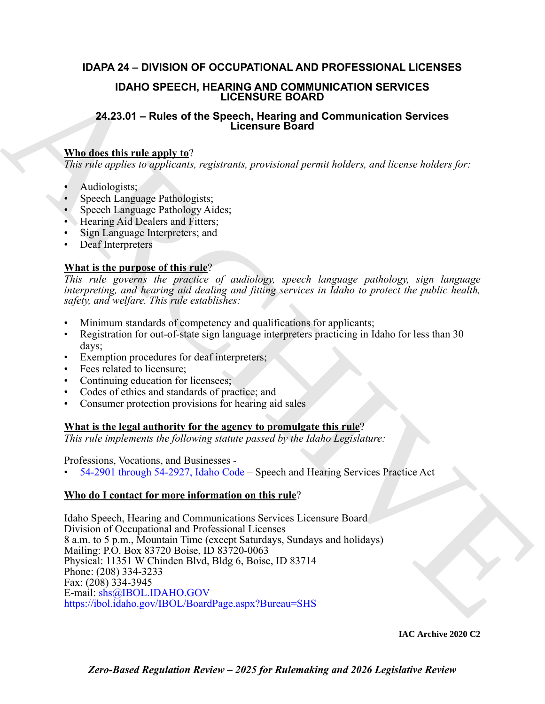# **IDAPA 24 – DIVISION OF OCCUPATIONAL AND PROFESSIONAL LICENSES**

## **IDAHO SPEECH, HEARING AND COMMUNICATION SERVICES LICENSURE BOARD**

# **24.23.01 – Rules of the Speech, Hearing and Communication Services Licensure Board**

## **Who does this rule apply to**?

*This rule applies to applicants, registrants, provisional permit holders, and license holders for:*

- Audiologists;
- Speech Language Pathologists;
- Speech Language Pathology Aides;
- Hearing Aid Dealers and Fitters;
- Sign Language Interpreters; and
- Deaf Interpreters

# **What is the purpose of this rule**?

*This rule governs the practice of audiology, speech language pathology, sign language interpreting, and hearing aid dealing and fitting services in Idaho to protect the public health, safety, and welfare. This rule establishes:*

- Minimum standards of competency and qualifications for applicants;
- Registration for out-of-state sign language interpreters practicing in Idaho for less than 30 days;
- Exemption procedures for deaf interpreters;
- Fees related to licensure;
- Continuing education for licensees:
- Codes of ethics and standards of practice; and
- Consumer protection provisions for hearing aid sales

### **What is the legal authority for the agency to promulgate this rule**?

*This rule implements the following statute passed by the Idaho Legislature:*

Professions, Vocations, and Businesses -

• 54-2901 through 54-2927, Idaho Code – Speech and Hearing Services Practice Act

# **Who do I contact for more information on this rule**?

**IDAHO SP[E](mailto: IBOL@IBOL.IDAHO.GOV)ECH, HEARING AND COMMUNICATION SERVICES**<br>
24.23.31 – Rules of the Speech, Hearing and Communication Services<br>
Who does this rule angle to  $\pi$ <br>
The policy optic context context in the speech of the Speech and th Idaho Speech, Hearing and Communications Services Licensure Board Division of Occupational and Professional Licenses 8 a.m. to 5 p.m., Mountain Time (except Saturdays, Sundays and holidays) Mailing: P.O. Box 83720 Boise, ID 83720-0063 Physical: 11351 W Chinden Blvd, Bldg 6, Boise, ID 83714 Phone: (208) 334-3233 Fax: (208) 334-3945 E-mail: shs@IBOL.IDAHO.GOV https://ibol.idaho.gov/IBOL/BoardPage.aspx?Bureau=SHS

#### **IAC Archive 2020 C2**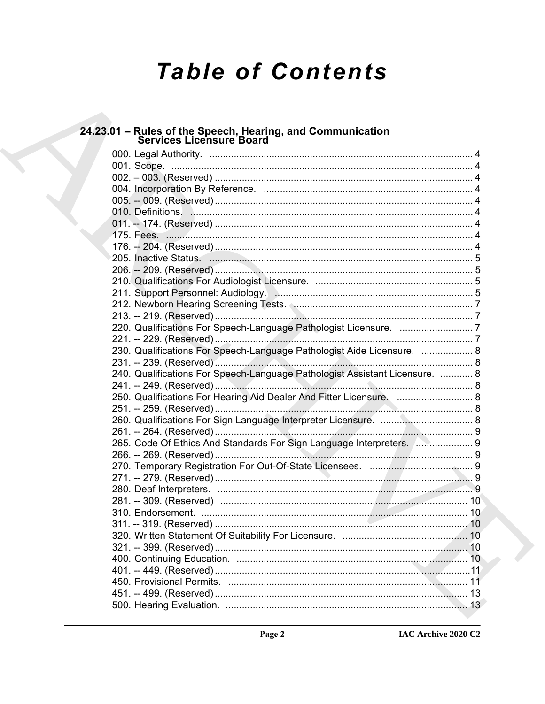# **Table of Contents**

# 24.23.01 - Rules of the Speech, Hearing, and Communication<br>Services Licensure Board 220. Qualifications For Speech-Language Pathologist Licensure. ..............................7 230. Qualifications For Speech-Language Pathologist Aide Licensure. .................. 8 240. Qualifications For Speech-Language Pathologist Assistant Licensure. ............ 8 250. Qualifications For Hearing Aid Dealer And Fitter Licensure. .............................. 8 265. Code Of Ethics And Standards For Sign Language Interpreters. ..................................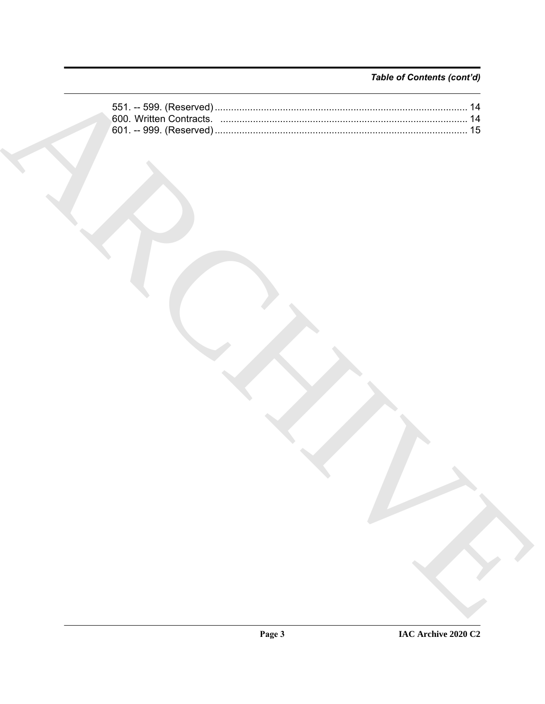# Table of Contents (cont'd)

| 000. Written Contracts. …………………………………………………………………………… 14 |  |
|----------------------------------------------------------|--|
|                                                          |  |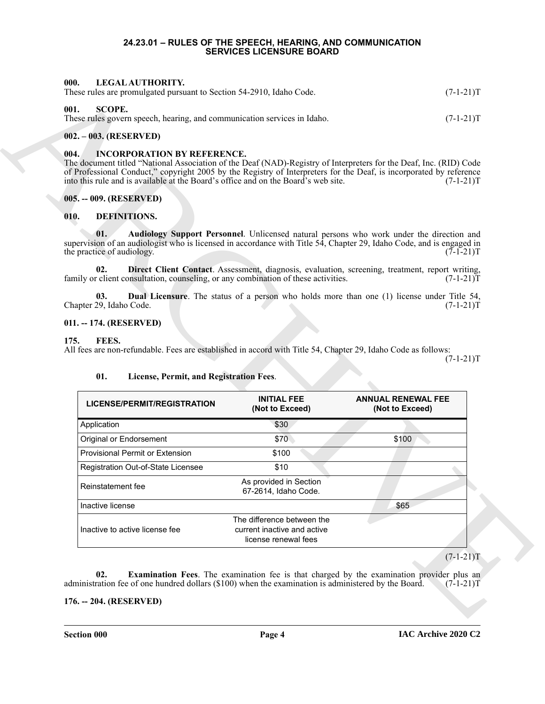#### **24.23.01 – RULES OF THE SPEECH, HEARING, AND COMMUNICATION SERVICES LICENSURE BOARD**

<span id="page-3-19"></span><span id="page-3-18"></span><span id="page-3-1"></span><span id="page-3-0"></span>

| 000.<br>LEGAL AUTHORITY.<br>These rules are promulgated pursuant to Section 54-2910, Idaho Code. | $(7-1-21)T$ |
|--------------------------------------------------------------------------------------------------|-------------|
| 001.<br>- SCOPE.<br>These rules govern speech, hearing, and communication services in Idaho.     | $(7-1-21)T$ |

#### <span id="page-3-3"></span><span id="page-3-2"></span>**002. – 003. (RESERVED)**

#### <span id="page-3-17"></span><span id="page-3-4"></span>**004. INCORPORATION BY REFERENCE.**

#### <span id="page-3-5"></span>**005. -- 009. (RESERVED)**

#### <span id="page-3-12"></span><span id="page-3-11"></span><span id="page-3-10"></span><span id="page-3-6"></span>**010. DEFINITIONS.**

#### <span id="page-3-14"></span><span id="page-3-13"></span><span id="page-3-8"></span><span id="page-3-7"></span>**011. -- 174. (RESERVED)**

#### <span id="page-3-16"></span><span id="page-3-15"></span><span id="page-3-9"></span>**01. License, Permit, and Registration Fees**.

| 001.<br><b>SCOPE.</b><br>These rules govern speech, hearing, and communication services in Idaho.<br>$002. - 003.$ (RESERVED)<br><b>INCORPORATION BY REFERENCE.</b><br>004.<br>The document titled "National Association of the Deaf (NAD)-Registry of Interpreters for the Deaf, Inc. (RID) Code<br>of Professional Conduct," copyright 2005 by the Registry of Interpreters for the Deaf, is incorporated by reference<br>into this rule and is available at the Board's office and on the Board's web site.<br>005. -- 009. (RESERVED)<br><b>DEFINITIONS.</b><br>010.<br>01.<br>Audiology Support Personnel. Unlicensed natural persons who work under the direction and<br>supervision of an audiologist who is licensed in accordance with Title 54, Chapter 29, Idaho Code, and is engaged in<br>the practice of audiology.<br>Direct Client Contact. Assessment, diagnosis, evaluation, screening, treatment, report writing,<br>02.<br>family or client consultation, counseling, or any combination of these activities.<br><b>Dual Licensure</b> . The status of a person who holds more than one (1) license under Title 54,<br>03.<br>Chapter 29, Idaho Code.<br>$(7-1-21)T$<br>011. -- 174. (RESERVED)<br>175.<br>FEES.<br>All fees are non-refundable. Fees are established in accord with Title 54, Chapter 29, Idaho Code as follows:<br>01.<br>License, Permit, and Registration Fees.<br><b>INITIAL FEE</b><br><b>ANNUAL RENEWAL FEE</b><br><b>LICENSE/PERMIT/REGISTRATION</b><br>(Not to Exceed)<br>(Not to Exceed)<br>\$30<br>Application<br>Original or Endorsement<br>\$70<br>\$100<br>Provisional Permit or Extension<br>\$100<br>Registration Out-of-State Licensee<br>\$10<br>As provided in Section<br>Reinstatement fee<br>67-2614, Idaho Code.<br>Inactive license<br>\$65<br>The difference between the<br>Inactive to active license fee<br>current inactive and active<br>license renewal fees<br><b>Examination Fees.</b> The examination fee is that charged by the examination provider plus an | 000. | These rules are promulgated pursuant to Section 54-2910, Idaho Code.                                        |  | $(7-1-21)T$                |
|-----------------------------------------------------------------------------------------------------------------------------------------------------------------------------------------------------------------------------------------------------------------------------------------------------------------------------------------------------------------------------------------------------------------------------------------------------------------------------------------------------------------------------------------------------------------------------------------------------------------------------------------------------------------------------------------------------------------------------------------------------------------------------------------------------------------------------------------------------------------------------------------------------------------------------------------------------------------------------------------------------------------------------------------------------------------------------------------------------------------------------------------------------------------------------------------------------------------------------------------------------------------------------------------------------------------------------------------------------------------------------------------------------------------------------------------------------------------------------------------------------------------------------------------------------------------------------------------------------------------------------------------------------------------------------------------------------------------------------------------------------------------------------------------------------------------------------------------------------------------------------------------------------------------------------------------------------------------------------------------------------------------------------------|------|-------------------------------------------------------------------------------------------------------------|--|----------------------------|
|                                                                                                                                                                                                                                                                                                                                                                                                                                                                                                                                                                                                                                                                                                                                                                                                                                                                                                                                                                                                                                                                                                                                                                                                                                                                                                                                                                                                                                                                                                                                                                                                                                                                                                                                                                                                                                                                                                                                                                                                                                   |      |                                                                                                             |  | $(7-1-21)T$                |
|                                                                                                                                                                                                                                                                                                                                                                                                                                                                                                                                                                                                                                                                                                                                                                                                                                                                                                                                                                                                                                                                                                                                                                                                                                                                                                                                                                                                                                                                                                                                                                                                                                                                                                                                                                                                                                                                                                                                                                                                                                   |      |                                                                                                             |  |                            |
|                                                                                                                                                                                                                                                                                                                                                                                                                                                                                                                                                                                                                                                                                                                                                                                                                                                                                                                                                                                                                                                                                                                                                                                                                                                                                                                                                                                                                                                                                                                                                                                                                                                                                                                                                                                                                                                                                                                                                                                                                                   |      |                                                                                                             |  | $(7-1-21)T$                |
|                                                                                                                                                                                                                                                                                                                                                                                                                                                                                                                                                                                                                                                                                                                                                                                                                                                                                                                                                                                                                                                                                                                                                                                                                                                                                                                                                                                                                                                                                                                                                                                                                                                                                                                                                                                                                                                                                                                                                                                                                                   |      |                                                                                                             |  |                            |
|                                                                                                                                                                                                                                                                                                                                                                                                                                                                                                                                                                                                                                                                                                                                                                                                                                                                                                                                                                                                                                                                                                                                                                                                                                                                                                                                                                                                                                                                                                                                                                                                                                                                                                                                                                                                                                                                                                                                                                                                                                   |      |                                                                                                             |  |                            |
|                                                                                                                                                                                                                                                                                                                                                                                                                                                                                                                                                                                                                                                                                                                                                                                                                                                                                                                                                                                                                                                                                                                                                                                                                                                                                                                                                                                                                                                                                                                                                                                                                                                                                                                                                                                                                                                                                                                                                                                                                                   |      |                                                                                                             |  | $(7-1-21)T$                |
|                                                                                                                                                                                                                                                                                                                                                                                                                                                                                                                                                                                                                                                                                                                                                                                                                                                                                                                                                                                                                                                                                                                                                                                                                                                                                                                                                                                                                                                                                                                                                                                                                                                                                                                                                                                                                                                                                                                                                                                                                                   |      |                                                                                                             |  | $(7-1-21)T$                |
|                                                                                                                                                                                                                                                                                                                                                                                                                                                                                                                                                                                                                                                                                                                                                                                                                                                                                                                                                                                                                                                                                                                                                                                                                                                                                                                                                                                                                                                                                                                                                                                                                                                                                                                                                                                                                                                                                                                                                                                                                                   |      |                                                                                                             |  |                            |
|                                                                                                                                                                                                                                                                                                                                                                                                                                                                                                                                                                                                                                                                                                                                                                                                                                                                                                                                                                                                                                                                                                                                                                                                                                                                                                                                                                                                                                                                                                                                                                                                                                                                                                                                                                                                                                                                                                                                                                                                                                   |      |                                                                                                             |  |                            |
|                                                                                                                                                                                                                                                                                                                                                                                                                                                                                                                                                                                                                                                                                                                                                                                                                                                                                                                                                                                                                                                                                                                                                                                                                                                                                                                                                                                                                                                                                                                                                                                                                                                                                                                                                                                                                                                                                                                                                                                                                                   |      |                                                                                                             |  |                            |
|                                                                                                                                                                                                                                                                                                                                                                                                                                                                                                                                                                                                                                                                                                                                                                                                                                                                                                                                                                                                                                                                                                                                                                                                                                                                                                                                                                                                                                                                                                                                                                                                                                                                                                                                                                                                                                                                                                                                                                                                                                   |      |                                                                                                             |  |                            |
|                                                                                                                                                                                                                                                                                                                                                                                                                                                                                                                                                                                                                                                                                                                                                                                                                                                                                                                                                                                                                                                                                                                                                                                                                                                                                                                                                                                                                                                                                                                                                                                                                                                                                                                                                                                                                                                                                                                                                                                                                                   |      |                                                                                                             |  |                            |
|                                                                                                                                                                                                                                                                                                                                                                                                                                                                                                                                                                                                                                                                                                                                                                                                                                                                                                                                                                                                                                                                                                                                                                                                                                                                                                                                                                                                                                                                                                                                                                                                                                                                                                                                                                                                                                                                                                                                                                                                                                   |      |                                                                                                             |  |                            |
|                                                                                                                                                                                                                                                                                                                                                                                                                                                                                                                                                                                                                                                                                                                                                                                                                                                                                                                                                                                                                                                                                                                                                                                                                                                                                                                                                                                                                                                                                                                                                                                                                                                                                                                                                                                                                                                                                                                                                                                                                                   |      |                                                                                                             |  |                            |
|                                                                                                                                                                                                                                                                                                                                                                                                                                                                                                                                                                                                                                                                                                                                                                                                                                                                                                                                                                                                                                                                                                                                                                                                                                                                                                                                                                                                                                                                                                                                                                                                                                                                                                                                                                                                                                                                                                                                                                                                                                   |      |                                                                                                             |  | $(7-1-21)T$                |
|                                                                                                                                                                                                                                                                                                                                                                                                                                                                                                                                                                                                                                                                                                                                                                                                                                                                                                                                                                                                                                                                                                                                                                                                                                                                                                                                                                                                                                                                                                                                                                                                                                                                                                                                                                                                                                                                                                                                                                                                                                   |      |                                                                                                             |  |                            |
|                                                                                                                                                                                                                                                                                                                                                                                                                                                                                                                                                                                                                                                                                                                                                                                                                                                                                                                                                                                                                                                                                                                                                                                                                                                                                                                                                                                                                                                                                                                                                                                                                                                                                                                                                                                                                                                                                                                                                                                                                                   |      |                                                                                                             |  |                            |
|                                                                                                                                                                                                                                                                                                                                                                                                                                                                                                                                                                                                                                                                                                                                                                                                                                                                                                                                                                                                                                                                                                                                                                                                                                                                                                                                                                                                                                                                                                                                                                                                                                                                                                                                                                                                                                                                                                                                                                                                                                   |      |                                                                                                             |  |                            |
|                                                                                                                                                                                                                                                                                                                                                                                                                                                                                                                                                                                                                                                                                                                                                                                                                                                                                                                                                                                                                                                                                                                                                                                                                                                                                                                                                                                                                                                                                                                                                                                                                                                                                                                                                                                                                                                                                                                                                                                                                                   |      |                                                                                                             |  |                            |
|                                                                                                                                                                                                                                                                                                                                                                                                                                                                                                                                                                                                                                                                                                                                                                                                                                                                                                                                                                                                                                                                                                                                                                                                                                                                                                                                                                                                                                                                                                                                                                                                                                                                                                                                                                                                                                                                                                                                                                                                                                   |      | 02.<br>administration fee of one hundred dollars (\$100) when the examination is administered by the Board. |  | $(7-1-21)T$<br>$(7-1-21)T$ |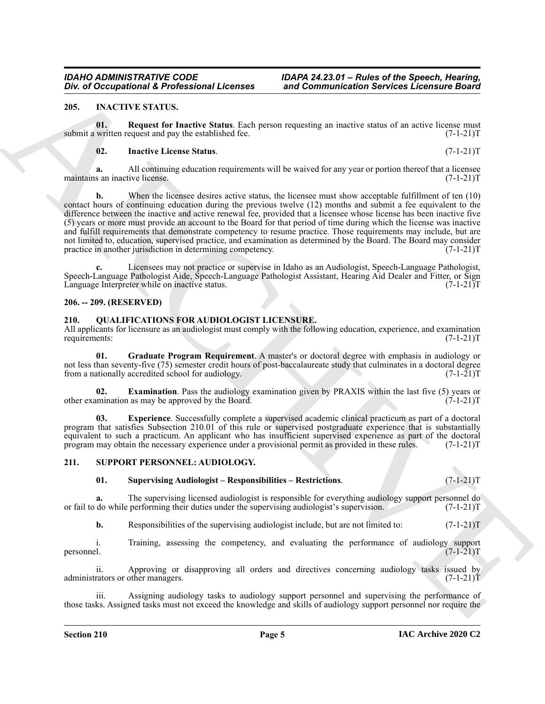#### <span id="page-4-4"></span><span id="page-4-0"></span>**205. INACTIVE STATUS.**

**01. Request for Inactive Status**. Each person requesting an inactive status of an active license must written request and pay the established fee.  $(7-1-21)T$ submit a written request and pay the established fee.

#### <span id="page-4-6"></span><span id="page-4-5"></span>**02. Inactive License Status**. (7-1-21)T

**a.** All continuing education requirements will be waived for any year or portion thereof that a licensee s an inactive license. maintains an inactive license.

One of Occupational & Professional Licenses and Communication Services Licenses and Communication Services Licenses and Services Licenses and Communication Services Licenses and the services of the services of the service **b.** When the licensee desires active status, the licensee must show acceptable fulfillment of ten (10) contact hours of continuing education during the previous twelve (12) months and submit a fee equivalent to the difference between the inactive and active renewal fee, provided that a licensee whose license has been inactive five (5) years or more must provide an account to the Board for that period of time during which the license was inactive and fulfill requirements that demonstrate competency to resume practice. Those requirements may include, but are not limited to, education, supervised practice, and examination as determined by the Board. The Board may consider practice in another jurisdiction in determining competency. (7-1-21) practice in another jurisdiction in determining competency.

**c.** Licensees may not practice or supervise in Idaho as an Audiologist, Speech-Language Pathologist, Speech-Language Pathologist Aide, Speech-Language Pathologist Assistant, Hearing Aid Dealer and Fitter, or Sign<br>Language Interpreter while on inactive status. (7-1-21)T Language Interpreter while on inactive status.

#### <span id="page-4-1"></span>**206. -- 209. (RESERVED)**

#### <span id="page-4-7"></span><span id="page-4-2"></span>**210. QUALIFICATIONS FOR AUDIOLOGIST LICENSURE.**

All applicants for licensure as an audiologist must comply with the following education, experience, and examination requirements:  $(7-1-21)$ T requirements:

<span id="page-4-10"></span>**01. Graduate Program Requirement**. A master's or doctoral degree with emphasis in audiology or not less than seventy-five (75) semester credit hours of post-baccalaureate study that culminates in a doctoral degree<br>from a nationally accredited school for audiology. (7-1-21) from a nationally accredited school for audiology.

<span id="page-4-8"></span>**02. Examination**. Pass the audiology examination given by PRAXIS within the last five (5) years or other examination as may be approved by the Board. (7-1-21)T

<span id="page-4-9"></span>**03. Experience**. Successfully complete a supervised academic clinical practicum as part of a doctoral program that satisfies Subsection 210.01 of this rule or supervised postgraduate experience that is substantially equivalent to such a practicum. An applicant who has insufficient supervised experience as part of the doctoral program may obtain the necessary experience under a provisional permit as provided in these rules. (7-1-21)T

#### <span id="page-4-3"></span>**211. SUPPORT PERSONNEL: AUDIOLOGY.**

#### <span id="page-4-12"></span><span id="page-4-11"></span>**01. Supervising Audiologist – Responsibilities – Restrictions**. (7-1-21)T

**a.** The supervising licensed audiologist is responsible for everything audiology support personnel do do while performing their duties under the supervising audiologist's supervision. (7-1-21) or fail to do while performing their duties under the supervising audiologist's supervision.

**b.** Responsibilities of the supervising audiologist include, but are not limited to:  $(7-1-21)T$ 

i. Training, assessing the competency, and evaluating the performance of audiology support personnel. (7-1-21)T  $p$ ersonnel. (7-1-21)T

ii. Approving or disapproving all orders and directives concerning audiology tasks issued by rators or other managers. (7-1-21)T administrators or other managers.

Assigning audiology tasks to audiology support personnel and supervising the performance of those tasks. Assigned tasks must not exceed the knowledge and skills of audiology support personnel nor require the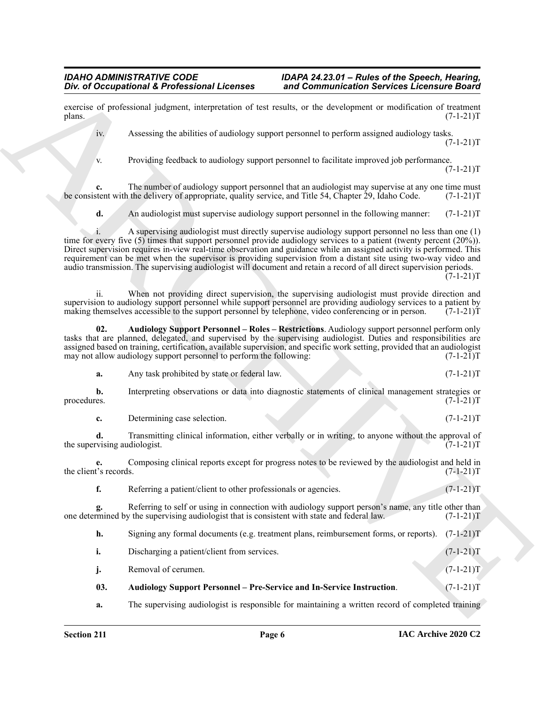exercise of professional judgment, interpretation of test results, or the development or modification of treatment plans. (7-1-21)T plans.  $(7-1-21)T$ 

iv. Assessing the abilities of audiology support personnel to perform assigned audiology tasks.  $(7-1-21)T$ 

v. Providing feedback to audiology support personnel to facilitate improved job performance.  $(7-1-21)T$ 

**c.** The number of audiology support personnel that an audiologist may supervise at any one time must stent with the delivery of appropriate, quality service, and Title 54, Chapter 29, Idaho Code.  $(7-1-21)T$ be consistent with the delivery of appropriate, quality service, and Title 54, Chapter 29, Idaho Code.

**d.** An audiologist must supervise audiology support personnel in the following manner: (7-1-21)T

Box of Decoration of K. Professional Lietunges and Communication Services Licensine Box<br>
symbol to decoration interpretation of the results, or the checkprocent or entable<br>
symbol to decoration of the results of the resul i. A supervising audiologist must directly supervise audiology support personnel no less than one (1) time for every five (5) times that support personnel provide audiology services to a patient (twenty percent (20%)). Direct supervision requires in-view real-time observation and guidance while an assigned activity is performed. This requirement can be met when the supervisor is providing supervision from a distant site using two-way video and audio transmission. The supervising audiologist will document and retain a record of all direct supervision periods.  $(7-1-21)T$ 

ii. When not providing direct supervision, the supervising audiologist must provide direction and supervision to audiology support personnel while support personnel are providing audiology services to a patient by making themselves accessible to the support personnel by telephone, video conferencing or in person. (7-1making themselves accessible to the support personnel by telephone, video conferencing or in person.

**02. Audiology Support Personnel – Roles – Restrictions**. Audiology support personnel perform only tasks that are planned, delegated, and supervised by the supervising audiologist. Duties and responsibilities are assigned based on training, certification, available supervision, and specific work setting, provided that an audiologist may not allow audiology support personnel to perform the following:  $(7-1-21)$ may not allow audiology support personnel to perform the following:

<span id="page-5-1"></span>

| Any task prohibited by state or federal law. | $(7-1-21)T$ |
|----------------------------------------------|-------------|
|                                              |             |

**b.** Interpreting observations or data into diagnostic statements of clinical management strategies or procedures.  $(7-1-21)T$ procedures. (7-1-21)T

**c.** Determining case selection. (7-1-21)T

**d.** Transmitting clinical information, either verbally or in writing, to anyone without the approval of vising audiologist. (7-1-21) the supervising audiologist.

**e.** Composing clinical reports except for progress notes to be reviewed by the audiologist and held in t's records. (7-1-21) the client's records.

**f.** Referring a patient/client to other professionals or agencies. (7-1-21)T

Referring to self or using in connection with audiology support person's name, any title other than y the supervising audiologist that is consistent with state and federal law. (7-1-21)<sup>T</sup> one determined by the supervising audiologist that is consistent with state and federal law.

**h.** Signing any formal documents (e.g. treatment plans, reimbursement forms, or reports).  $(7-1-21)$ T

**i.** Discharging a patient/client from services. (7-1-21)T

<span id="page-5-0"></span>**j.** Removal of cerumen. (7-1-21)T

**03. Audiology Support Personnel – Pre-Service and In-Service Instruction**. (7-1-21)T

**a.** The supervising audiologist is responsible for maintaining a written record of completed training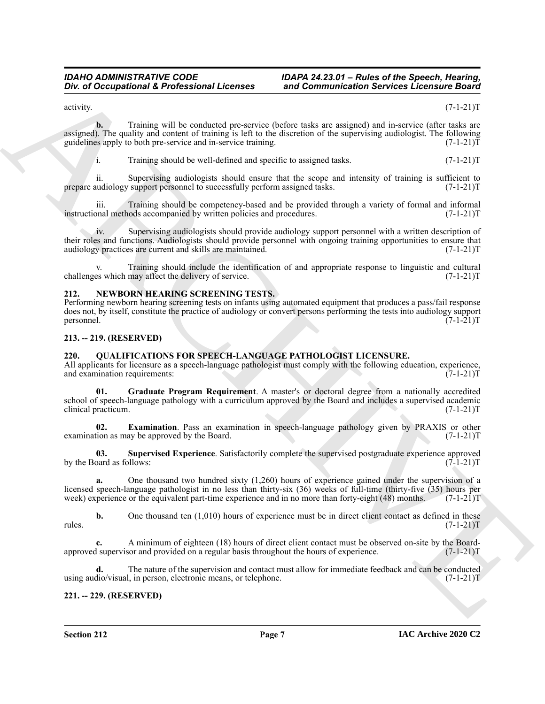activity. (7-1-21)T

**b.** Training will be conducted pre-service (before tasks are assigned) and in-service (after tasks are assigned). The quality and content of training is left to the discretion of the supervising audiologist. The following guidelines apply to both pre-service and in-service training. (7-1-21)T

i. Training should be well-defined and specific to assigned tasks.  $(7-1-21)$ T

ii. Supervising audiologists should ensure that the scope and intensity of training is sufficient to prepare audiology support personnel to successfully perform assigned tasks. (7-1-21)T

iii. Training should be competency-based and be provided through a variety of formal and informal instructional methods accompanied by written policies and procedures.

One of Occupational K. Professional Licenses and Communication Services Licensine Board<br>
The United States and the material presention the form that is an expected and the services of the services of the services of the s iv. Supervising audiologists should provide audiology support personnel with a written description of their roles and functions. Audiologists should provide personnel with ongoing training opportunities to ensure that audiology practices are current and skills are maintained. (7-1-21) audiology practices are current and skills are maintained.

Training should include the identification of and appropriate response to linguistic and cultural challenges which may affect the delivery of service. (7-1-21)T

#### <span id="page-6-4"></span><span id="page-6-0"></span>**212. NEWBORN HEARING SCREENING TESTS.**

Performing newborn hearing screening tests on infants using automated equipment that produces a pass/fail response does not, by itself, constitute the practice of audiology or convert persons performing the tests into audiology support personnel. (7-1-21)T

#### <span id="page-6-1"></span>**213. -- 219. (RESERVED)**

### <span id="page-6-5"></span><span id="page-6-2"></span>**220. QUALIFICATIONS FOR SPEECH-LANGUAGE PATHOLOGIST LICENSURE.**

All applicants for licensure as a speech-language pathologist must comply with the following education, experience, and examination requirements: (7-1-21)T and examination requirements:

<span id="page-6-7"></span>**01. Graduate Program Requirement**. A master's or doctoral degree from a nationally accredited school of speech-language pathology with a curriculum approved by the Board and includes a supervised academic clinical practicum. (7-1-21)T clinical practicum.

<span id="page-6-6"></span>**02. Examination**. Pass an examination in speech-language pathology given by PRAXIS or other tion as may be approved by the Board. (7-1-21)T examination as may be approved by the Board.

<span id="page-6-8"></span>**03.** Supervised Experience. Satisfactorily complete the supervised postgraduate experience approved pard as follows:  $(7-1-21)T$ by the Board as follows:

**a.** One thousand two hundred sixty (1,260) hours of experience gained under the supervision of a licensed speech-language pathologist in no less than thirty-six (36) weeks of full-time (thirty-five (35) hours per week) experience or the equivalent part-time experience and in no more than forty-eight (48) months. (7-1week) experience or the equivalent part-time experience and in no more than forty-eight (48) months.

**b.** One thousand ten (1,010) hours of experience must be in direct client contact as defined in these rules.  $(7-1-21)$ T

**c.** A minimum of eighteen (18) hours of direct client contact must be observed on-site by the Board-<br>d supervisor and provided on a regular basis throughout the hours of experience. (7-1-21) approved supervisor and provided on a regular basis throughout the hours of experience.

**d.** The nature of the supervision and contact must allow for immediate feedback and can be conducted dio/visual, in person, electronic means, or telephone. (7-1-21) using audio/visual, in person, electronic means, or telephone.

#### <span id="page-6-3"></span>**221. -- 229. (RESERVED)**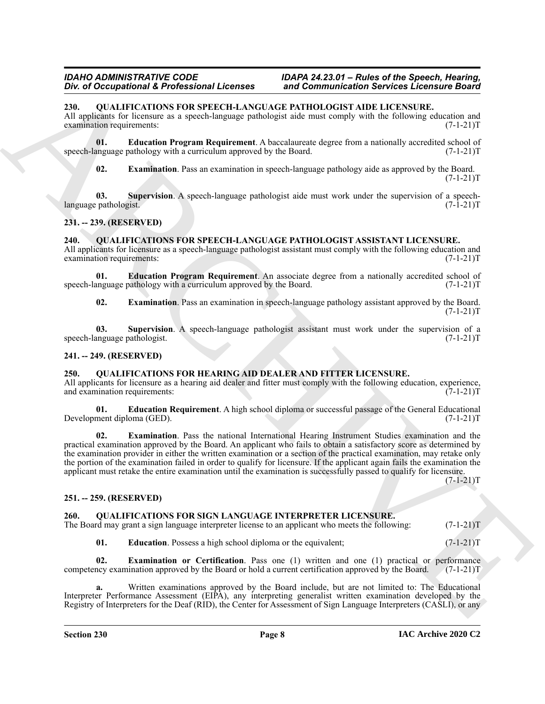*IDAHO ADMINISTRATIVE CODE IDAPA 24.23.01 – Rules of the Speech, Hearing,* and Communication Services Licensure Board

#### <span id="page-7-12"></span><span id="page-7-0"></span>**230. QUALIFICATIONS FOR SPEECH-LANGUAGE PATHOLOGIST AIDE LICENSURE.**

All applicants for licensure as a speech-language pathologist aide must comply with the following education and examination requirements: (7-1-21) examination requirements:

**01. Education Program Requirement**. A baccalaureate degree from a nationally accredited school of anguage pathology with a curriculum approved by the Board. (7-1-21) speech-language pathology with a curriculum approved by the Board.

<span id="page-7-15"></span><span id="page-7-14"></span><span id="page-7-13"></span>**02. Examination**. Pass an examination in speech-language pathology aide as approved by the Board.  $(7-1-21)T$ 

**03.** Supervision. A speech-language pathologist aide must work under the supervision of a speech-<br>pathologist.  $(7-1-21)T$ language pathologist.

#### <span id="page-7-1"></span>**231. -- 239. (RESERVED)**

#### <span id="page-7-16"></span><span id="page-7-2"></span>**240. QUALIFICATIONS FOR SPEECH-LANGUAGE PATHOLOGIST ASSISTANT LICENSURE.**

All applicants for licensure as a speech-language pathologist assistant must comply with the following education and examination requirements:  $(7-1-21)$ T examination requirements:

**01. Education Program Requirement**. An associate degree from a nationally accredited school of anguage pathology with a curriculum approved by the Board. (7-1-21) speech-language pathology with a curriculum approved by the Board.

<span id="page-7-19"></span><span id="page-7-18"></span><span id="page-7-17"></span>**02. Examination**. Pass an examination in speech-language pathology assistant approved by the Board.  $(7-1-21)T$ 

**03.** Supervision. A speech-language pathologist assistant must work under the supervision of a anguage pathologist. (7-1-21) speech-language pathologist.

#### <span id="page-7-3"></span>**241. -- 249. (RESERVED)**

#### <span id="page-7-7"></span><span id="page-7-4"></span>**250. QUALIFICATIONS FOR HEARING AID DEALER AND FITTER LICENSURE.**

All applicants for licensure as a hearing aid dealer and fitter must comply with the following education, experience, and examination requirements: (7-1-21)T and examination requirements:

<span id="page-7-8"></span>**01. Education Requirement**. A high school diploma or successful passage of the General Educational Development diploma (GED).

The *Contention of E-Professional Liescans* and E-References Contention Southern Southern Southern Southern Southern Southern Southern Southern Southern Southern Southern Southern Southern Southern Southern Southern Sout **02. Examination**. Pass the national International Hearing Instrument Studies examination and the practical examination approved by the Board. An applicant who fails to obtain a satisfactory score as determined by the examination provider in either the written examination or a section of the practical examination, may retake only the portion of the examination failed in order to qualify for licensure. If the applicant again fails the examination the applicant must retake the entire examination until the examination is successfully passed to qualify for licensure.

 $(7-1-21)T$ 

#### <span id="page-7-5"></span>**251. -- 259. (RESERVED)**

#### <span id="page-7-9"></span><span id="page-7-6"></span>**260. QUALIFICATIONS FOR SIGN LANGUAGE INTERPRETER LICENSURE.**

| The Board may grant a sign language interpreter license to an applicant who meets the following: | $(7-1-21)T$ |
|--------------------------------------------------------------------------------------------------|-------------|
|                                                                                                  |             |

<span id="page-7-11"></span><span id="page-7-10"></span>**01.** Education. Possess a high school diploma or the equivalent;  $(7-1-21)T$ 

**02. Examination or Certification**. Pass one (1) written and one (1) practical or performance now examination approved by the Board or hold a current certification approved by the Board. (7-1-21) competency examination approved by the Board or hold a current certification approved by the Board.

**a.** Written examinations approved by the Board include, but are not limited to: The Educational Interpreter Performance Assessment (EIPA), any interpreting generalist written examination developed by the Registry of Interpreters for the Deaf (RID), the Center for Assessment of Sign Language Interpreters (CASLI), or any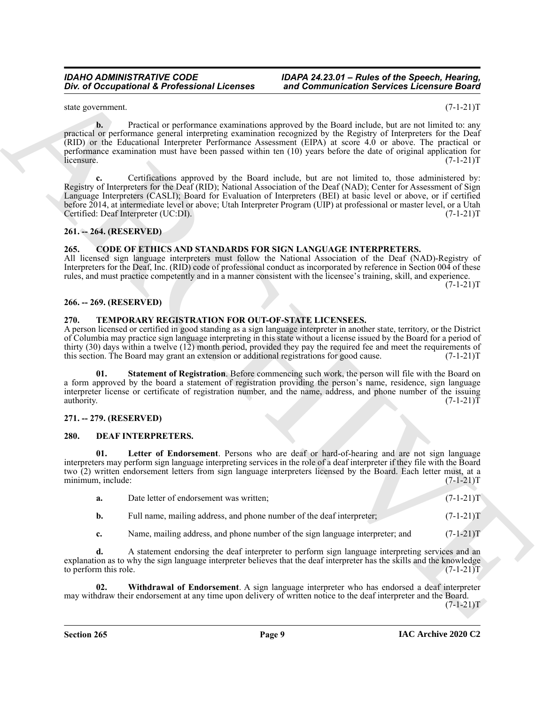#### *IDAHO ADMINISTRATIVE CODE IDAPA 24.23.01 – Rules of the Speech, Hearing,* and Communication Services Licensure Board

state government. (7-1-21)T

**b.** Practical or performance examinations approved by the Board include, but are not limited to: any practical or performance general interpreting examination recognized by the Registry of Interpreters for the Deaf (RID) or the Educational Interpreter Performance Assessment (EIPA) at score 4.0 or above. The practical or performance examination must have been passed within ten (10) years before the date of original application for licensure. (7-1-21)  $l$  (7-1-21)T

One of Occupational K. Professional Licenses and Communication Services Licensine and Respubsive to the control of the system of the system of the system of the system of the system of the system of the system of the syst **c.** Certifications approved by the Board include, but are not limited to, those administered by: Registry of Interpreters for the Deaf (RID); National Association of the Deaf (NAD); Center for Assessment of Sign Language Interpreters (CASLI); Board for Evaluation of Interpreters (BEI) at basic level or above, or if certified before 2014, at intermediate level or above; Utah Interpreter Program (UIP) at professional or master level, or a Utah<br>Certified: Deaf Interpreter (UC:DI). Certified: Deaf Interpreter (UC:DI).

#### <span id="page-8-0"></span>**261. -- 264. (RESERVED)**

### <span id="page-8-6"></span><span id="page-8-1"></span>**265. CODE OF ETHICS AND STANDARDS FOR SIGN LANGUAGE INTERPRETERS.**

All licensed sign language interpreters must follow the National Association of the Deaf (NAD)-Registry of Interpreters for the Deaf, Inc. (RID) code of professional conduct as incorporated by reference in Section 004 of these rules, and must practice competently and in a manner consistent with the licensee's training, skill, and experience.

 $(7-1-21)T$ 

#### <span id="page-8-2"></span>**266. -- 269. (RESERVED)**

#### <span id="page-8-10"></span><span id="page-8-3"></span>**270. TEMPORARY REGISTRATION FOR OUT-OF-STATE LICENSEES.**

A person licensed or certified in good standing as a sign language interpreter in another state, territory, or the District of Columbia may practice sign language interpreting in this state without a license issued by the Board for a period of thirty (30) days within a twelve (12) month period, provided they pay the required fee and meet the requirements of this section. The Board may grant an extension or additional registrations for good cause. (7-1-21)T

<span id="page-8-11"></span>Statement of Registration. Before commencing such work, the person will file with the Board on a form approved by the board a statement of registration providing the person's name, residence, sign language interpreter license or certificate of registration number, and the name, address, and phone number of the issuing authority. (7-1-21) authority.  $(7-1-21)T$ 

#### <span id="page-8-4"></span>**271. -- 279. (RESERVED)**

#### <span id="page-8-7"></span><span id="page-8-5"></span>**280. DEAF INTERPRETERS.**

**01. Letter of Endorsement**. Persons who are deaf or hard-of-hearing and are not sign language interpreters may perform sign language interpreting services in the role of a deaf interpreter if they file with the Board two (2) written endorsement letters from sign language interpreters licensed by the Board. Each letter must, at a minimum, include: (7-1-21)T

<span id="page-8-8"></span>

| Date letter of endorsement was written:                               |  | $(7-1-21)T$ |
|-----------------------------------------------------------------------|--|-------------|
| Full name, mailing address, and phone number of the deaf interpreter; |  | $(7-1-21)T$ |

<span id="page-8-9"></span>**c.** Name, mailing address, and phone number of the sign language interpreter; and  $(7-1-21)$ T

**d.** A statement endorsing the deaf interpreter to perform sign language interpreting services and an explanation as to why the sign language interpreter believes that the deaf interpreter has the skills and the knowledge to perform this role. (7-1-21) to perform this role.

**02. Withdrawal of Endorsement**. A sign language interpreter who has endorsed a deaf interpreter may withdraw their endorsement at any time upon delivery of written notice to the deaf interpreter and the Board.

 $(7-1-21)T$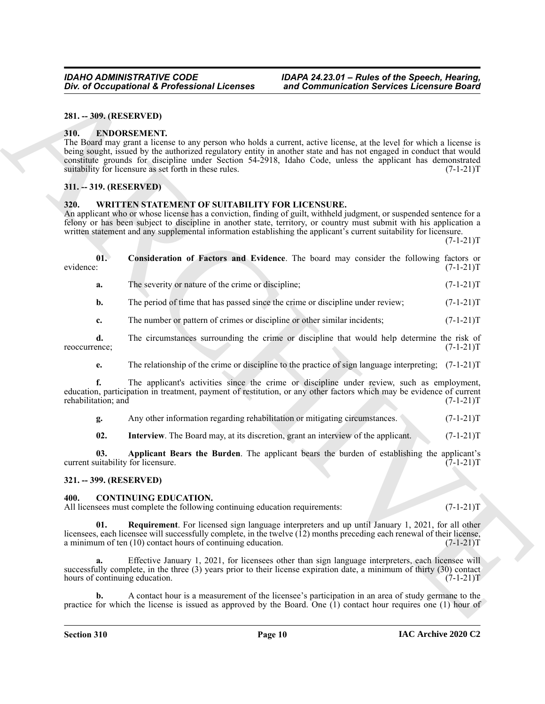#### <span id="page-9-0"></span>**281. -- 309. (RESERVED)**

#### <span id="page-9-8"></span><span id="page-9-1"></span>**310. ENDORSEMENT.**

#### <span id="page-9-2"></span>**311. -- 319. (RESERVED)**

#### <span id="page-9-11"></span><span id="page-9-9"></span><span id="page-9-3"></span>**320. WRITTEN STATEMENT OF SUITABILITY FOR LICENSURE.**

|                           | Div. of Occupational & Professional Licenses                                                                                                                                                                                                                                                                                                                                                                                               | and Communication Services Licensure Board                                                                                                                                                                                 |             |
|---------------------------|--------------------------------------------------------------------------------------------------------------------------------------------------------------------------------------------------------------------------------------------------------------------------------------------------------------------------------------------------------------------------------------------------------------------------------------------|----------------------------------------------------------------------------------------------------------------------------------------------------------------------------------------------------------------------------|-------------|
| 281. -- 309. (RESERVED)   |                                                                                                                                                                                                                                                                                                                                                                                                                                            |                                                                                                                                                                                                                            |             |
| <b>310.</b>               | <b>ENDORSEMENT.</b><br>The Board may grant a license to any person who holds a current, active license, at the level for which a license is<br>being sought, issued by the authorized regulatory entity in another state and has not engaged in conduct that would<br>constitute grounds for discipline under Section 54-2918, Idaho Code, unless the applicant has demonstrated<br>suitability for licensure as set forth in these rules. |                                                                                                                                                                                                                            | $(7-1-21)T$ |
| 311. -- 319. (RESERVED)   |                                                                                                                                                                                                                                                                                                                                                                                                                                            |                                                                                                                                                                                                                            |             |
| 320.                      | WRITTEN STATEMENT OF SUITABILITY FOR LICENSURE.<br>An applicant who or whose license has a conviction, finding of guilt, withheld judgment, or suspended sentence for a<br>felony or has been subject to discipline in another state, territory, or country must submit with his application a<br>written statement and any supplemental information establishing the applicant's current suitability for licensure.                       |                                                                                                                                                                                                                            | $(7-1-21)T$ |
| 01.<br>evidence:          |                                                                                                                                                                                                                                                                                                                                                                                                                                            | Consideration of Factors and Evidence. The board may consider the following factors or                                                                                                                                     | $(7-1-21)T$ |
| a.                        | The severity or nature of the crime or discipline;                                                                                                                                                                                                                                                                                                                                                                                         |                                                                                                                                                                                                                            | $(7-1-21)T$ |
| b.                        | The period of time that has passed since the crime or discipline under review;                                                                                                                                                                                                                                                                                                                                                             |                                                                                                                                                                                                                            | $(7-1-21)T$ |
| c.                        | The number or pattern of crimes or discipline or other similar incidents;                                                                                                                                                                                                                                                                                                                                                                  |                                                                                                                                                                                                                            | $(7-1-21)T$ |
| d.<br>reoccurrence;       |                                                                                                                                                                                                                                                                                                                                                                                                                                            | The circumstances surrounding the crime or discipline that would help determine the risk of                                                                                                                                | $(7-1-21)T$ |
| e.                        |                                                                                                                                                                                                                                                                                                                                                                                                                                            | The relationship of the crime or discipline to the practice of sign language interpreting; $(7-1-21)$ T                                                                                                                    |             |
| f.<br>rehabilitation; and | education, participation in treatment, payment of restitution, or any other factors which may be evidence of current                                                                                                                                                                                                                                                                                                                       | The applicant's activities since the crime or discipline under review, such as employment,                                                                                                                                 | $(7-1-21)T$ |
| g.                        | Any other information regarding rehabilitation or mitigating circumstances.                                                                                                                                                                                                                                                                                                                                                                |                                                                                                                                                                                                                            | $(7-1-21)T$ |
| 02.                       | Interview. The Board may, at its discretion, grant an interview of the applicant.                                                                                                                                                                                                                                                                                                                                                          |                                                                                                                                                                                                                            | $(7-1-21)T$ |
| 03.                       | current suitability for licensure.                                                                                                                                                                                                                                                                                                                                                                                                         | Applicant Bears the Burden. The applicant bears the burden of establishing the applicant's                                                                                                                                 | $(7-1-21)T$ |
| 321. -- 399. (RESERVED)   |                                                                                                                                                                                                                                                                                                                                                                                                                                            |                                                                                                                                                                                                                            |             |
| 400.                      | <b>CONTINUING EDUCATION.</b><br>All licensees must complete the following continuing education requirements:                                                                                                                                                                                                                                                                                                                               |                                                                                                                                                                                                                            | $(7-1-21)T$ |
| 01.                       | licensees, each licensee will successfully complete, in the twelve $(12)$ months preceding each renewal of their license,<br>a minimum of ten $(10)$ contact hours of continuing education.                                                                                                                                                                                                                                                | <b>Requirement</b> . For licensed sign language interpreters and up until January 1, 2021, for all other                                                                                                                   | $(7-1-21)T$ |
| a.                        | successfully complete, in the three (3) years prior to their license expiration date, a minimum of thirty (30) contact<br>hours of continuing education.                                                                                                                                                                                                                                                                                   | Effective January 1, 2021, for licensees other than sign language interpreters, each licensee will                                                                                                                         | $(7-1-21)T$ |
| b.                        |                                                                                                                                                                                                                                                                                                                                                                                                                                            | A contact hour is a measurement of the licensee's participation in an area of study germane to the<br>practice for which the license is issued as approved by the Board. One $(1)$ contact hour requires one $(1)$ hour of |             |

#### <span id="page-9-12"></span><span id="page-9-10"></span><span id="page-9-4"></span>**321. -- 399. (RESERVED)**

#### <span id="page-9-7"></span><span id="page-9-6"></span><span id="page-9-5"></span>**400. CONTINUING EDUCATION.**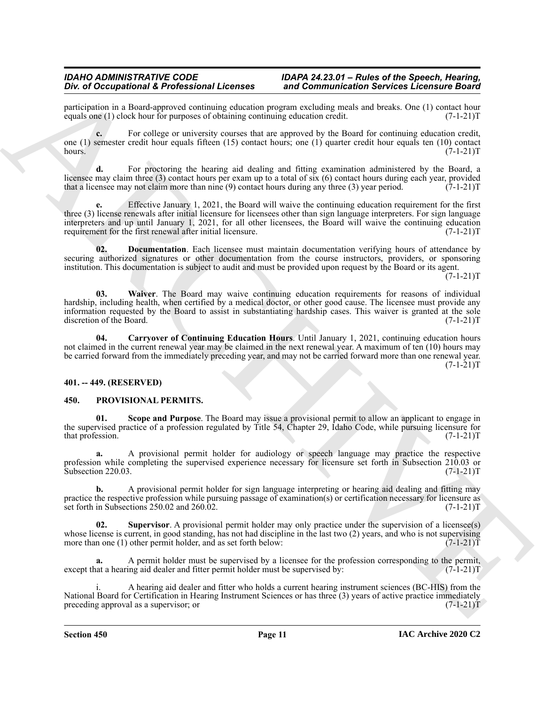participation in a Board-approved continuing education program excluding meals and breaks. One (1) contact hour equals one (1) clock hour for purposes of obtaining continuing education credit. (7-1-21) equals one (1) clock hour for purposes of obtaining continuing education credit.

**c.** For college or university courses that are approved by the Board for continuing education credit, one (1) semester credit hour equals fifteen (15) contact hours; one (1) quarter credit hour equals ten (10) contact hours.  $(7-1-21)T$ hours. (7-1-21)T

**d.** For proctoring the hearing aid dealing and fitting examination administered by the Board, a licensee may claim three (3) contact hours per exam up to a total of six (6) contact hours during each year, provided that a licensee may not claim more than nine (9) contact hours during any three (3) year period.  $(7-1-21)T$ 

**e.** Effective January 1, 2021, the Board will waive the continuing education requirement for the first three (3) license renewals after initial licensure for licensees other than sign language interpreters. For sign language interpreters and up until January 1, 2021, for all other licensees, the Board will waive the continuing education requirement for the first renewal after initial licensure. (7-1-21)T

<span id="page-10-2"></span>**02. Documentation**. Each licensee must maintain documentation verifying hours of attendance by securing authorized signatures or other documentation from the course instructors, providers, or sponsoring institution. This documentation is subject to audit and must be provided upon request by the Board or its agent.  $(7-1-21)T$ 

The of Decembetion of Education Interaction and the material of the material of the material of the state of the state of the state of the state of the state of the state of the state of the state of the state of the sta **03. Waiver**. The Board may waive continuing education requirements for reasons of individual hardship, including health, when certified by a medical doctor, or other good cause. The licensee must provide any information requested by the Board to assist in substantiating hardship cases. This waiver is granted at the sole discretion of the Board. (7-1-21)T discretion of the Board.

**04. Carryover of Continuing Education Hours**. Until January 1, 2021, continuing education hours not claimed in the current renewal year may be claimed in the next renewal year. A maximum of ten (10) hours may be carried forward from the immediately preceding year, and may not be carried forward more than one renewal year.  $(7-1-21)T$ 

#### <span id="page-10-0"></span>**401. -- 449. (RESERVED)**

#### <span id="page-10-3"></span><span id="page-10-1"></span>**450. PROVISIONAL PERMITS.**

**01. Scope and Purpose**. The Board may issue a provisional permit to allow an applicant to engage in the supervised practice of a profession regulated by Title 54, Chapter 29, Idaho Code, while pursuing licensure for that profession. (7-1-21)T

**a.** A provisional permit holder for audiology or speech language may practice the respective profession while completing the supervised experience necessary for licensure set forth in Subsection 210.03 or<br>(7-1-21)T Subsection 220.03.

**b.** A provisional permit holder for sign language interpreting or hearing aid dealing and fitting may practice the respective profession while pursuing passage of examination(s) or certification necessary for licensure as set forth in Subsections 250.02 and 260.02. set forth in Subsections  $250.02$  and  $260.02$ .

**Supervisor**. A provisional permit holder may only practice under the supervision of a licensee(s) whose license is current, in good standing, has not had discipline in the last two (2) years, and who is not supervising more than one (1) other permit holder, and as set forth below:  $(7-1-21)$ more than one  $(1)$  other permit holder, and as set forth below:

A permit holder must be supervised by a licensee for the profession corresponding to the permit, ing aid dealer and fitter permit holder must be supervised by:  $(7-1-21)T$ except that a hearing aid dealer and fitter permit holder must be supervised by:

i. A hearing aid dealer and fitter who holds a current hearing instrument sciences (BC-HIS) from the National Board for Certification in Hearing Instrument Sciences or has three (3) years of active practice immediately preceding approval as a supervisor; or preceding approval as a supervisor; or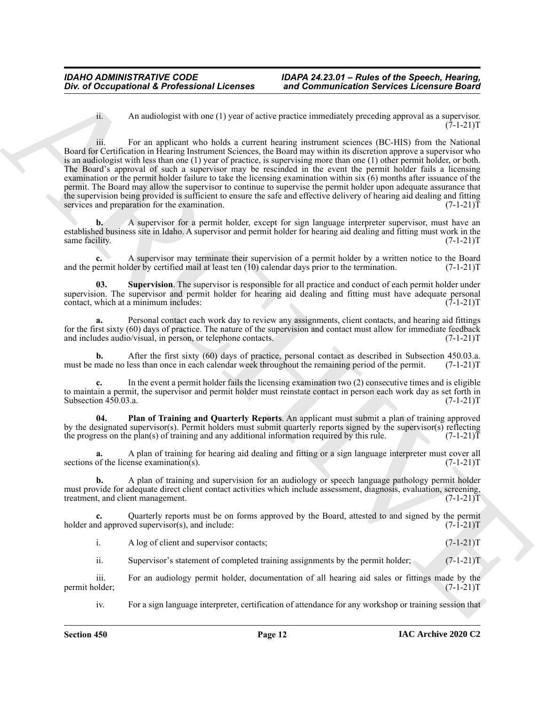ii. An audiologist with one (1) year of active practice immediately preceding approval as a supervisor.  $(7-1-21)T$ 

One of Occupational & Professional Licenses<br>
As a multiple of the context and Communication Services Licenses<br>
As a multiple of the context and the context and the context and the context and the context and the context a iii. For an applicant who holds a current hearing instrument sciences (BC-HIS) from the National Board for Certification in Hearing Instrument Sciences, the Board may within its discretion approve a supervisor who is an audiologist with less than one (1) year of practice, is supervising more than one (1) other permit holder, or both. The Board's approval of such a supervisor may be rescinded in the event the permit holder fails a licensing examination or the permit holder failure to take the licensing examination within six (6) months after issuance of the permit. The Board may allow the supervisor to continue to supervise the permit holder upon adequate assurance that the supervision being provided is sufficient to ensure the safe and effective delivery of hearing aid dealing and fitting services and preparation for the examination. (7-1-21) services and preparation for the examination.

**b.** A supervisor for a permit holder, except for sign language interpreter supervisor, must have an established business site in Idaho. A supervisor and permit holder for hearing aid dealing and fitting must work in the same facility. (7-1-21)T

**c.** A supervisor may terminate their supervision of a permit holder by a written notice to the Board and the permit holder by certified mail at least ten (10) calendar days prior to the termination. (7-1-21) T

**03. Supervision**. The supervisor is responsible for all practice and conduct of each permit holder under supervision. The supervisor and permit holder for hearing aid dealing and fitting must have adequate personal contact, which at a minimum includes: (7-1-21) contact, which at a minimum includes:

**a.** Personal contact each work day to review any assignments, client contacts, and hearing aid fittings for the first sixty (60) days of practice. The nature of the supervision and contact must allow for immediate feedback<br>and includes audio/visual, in person, or telephone contacts. (7-1-21) and includes audio/visual, in person, or telephone contacts.

After the first sixty (60) days of practice, personal contact as described in Subsection 450.03.a.<br>less than once in each calendar week throughout the remaining period of the permit. (7-1-21)T must be made no less than once in each calendar week throughout the remaining period of the permit.

**c.** In the event a permit holder fails the licensing examination two (2) consecutive times and is eligible to maintain a permit, the supervisor and permit holder must reinstate contact in person each work day as set forth in Subsection 450.03.a. (7-1-21)T

**04. Plan of Training and Quarterly Reports**. An applicant must submit a plan of training approved by the designated supervisor(s). Permit holders must submit quarterly reports signed by the supervisor(s) reflecting the progress on the plan(s) of training and any additional information required by this rule.  $(7-1-21)\bar{T}$ 

**a.** A plan of training for hearing aid dealing and fitting or a sign language interpreter must cover all sections of the license examination(s).

**b.** A plan of training and supervision for an audiology or speech language pathology permit holder must provide for adequate direct client contact activities which include assessment, diagnosis, evaluation, screening, treatment, and client management. (7-1-21)T treatment, and client management.

Quarterly reports must be on forms approved by the Board, attested to and signed by the permit ved supervisor(s), and include:  $(7-1-21)T$ holder and approved supervisor $(s)$ , and include:

i. A log of client and supervisor contacts;  $(7-1-21)$ T

ii. Supervisor's statement of completed training assignments by the permit holder; (7-1-21)T

iii. For an audiology permit holder, documentation of all hearing aid sales or fittings made by the older; (7-1-21)T permit holder;

iv. For a sign language interpreter, certification of attendance for any workshop or training session that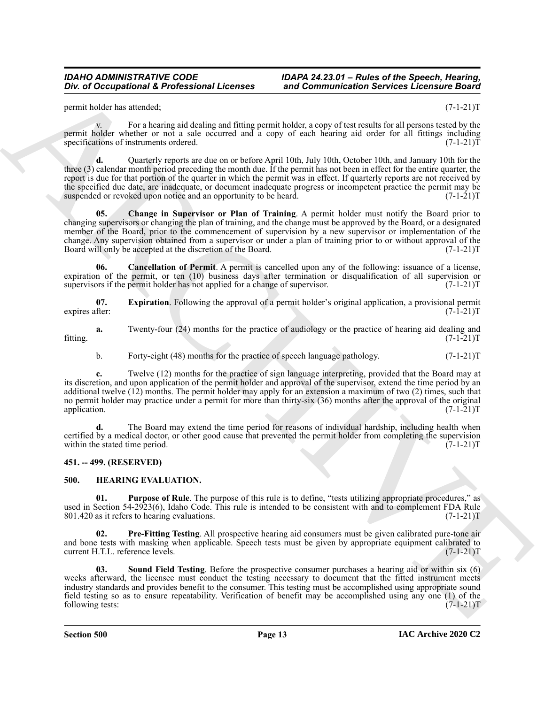#### *IDAHO ADMINISTRATIVE CODE IDAPA 24.23.01 – Rules of the Speech, Hearing, Div. of Occupational & Professional Licenses and Communication Services Licensure Board*

permit holder has attended; (7-1-21)T

For a hearing aid dealing and fitting permit holder, a copy of test results for all persons tested by the permit holder whether or not a sale occurred and a copy of each hearing aid order for all fittings including specifications of instruments ordered. (7-1-21)T

**d.** Quarterly reports are due on or before April 10th, July 10th, October 10th, and January 10th for the three (3) calendar month period preceding the month due. If the permit has not been in effect for the entire quarter, the report is due for that portion of the quarter in which the permit was in effect. If quarterly reports are not received by the specified due date, are inadequate, or document inadequate progress or incompetent practice the permit may be suspended or revoked upon notice and an opportunity to be heard. (7-1-21) suspended or revoked upon notice and an opportunity to be heard.

**05. Change in Supervisor or Plan of Training**. A permit holder must notify the Board prior to changing supervisors or changing the plan of training, and the change must be approved by the Board, or a designated member of the Board, prior to the commencement of supervision by a new supervisor or implementation of the change. Any supervision obtained from a supervisor or under a plan of training prior to or without approval of the<br>Board will only be accepted at the discretion of the Board. (7-1-21) Board will only be accepted at the discretion of the Board.

**06. Cancellation of Permit**. A permit is cancelled upon any of the following: issuance of a license, expiration of the permit, or ten (10) business days after termination or disqualification of all supervision or supervisions if the permit holder has not applied for a change of supervisor. (7-1-21) supervisors if the permit holder has not applied for a change of supervisor.

**07. Expiration**. Following the approval of a permit holder's original application, a provisional permit expires after:  $(7-1-21)T$ expires after: (7-1-21)T

**a.** Twenty-four (24) months for the practice of audiology or the practice of hearing aid dealing and  $(7-1-21)$ T fitting. (7-1-21)T

b. Forty-eight (48) months for the practice of speech language pathology. (7-1-21)T

The d Occupational & Professional Licenses and Communication Services Licensies Sources ( $\mu$ ) 2111<br>
Specific the shocked in the state of the specific state of the state of the state of the state of the state of<br>
presiden **c.** Twelve (12) months for the practice of sign language interpreting, provided that the Board may at its discretion, and upon application of the permit holder and approval of the supervisor, extend the time period by an additional twelve (12) months. The permit holder may apply for an extension a maximum of two (2) times, such that no permit holder may practice under a permit for more than thirty-six (36) months after the approval of the original application. (7-1-21)T application.  $(7-1-21)T$ 

**d.** The Board may extend the time period for reasons of individual hardship, including health when certified by a medical doctor, or other good cause that prevented the permit holder from completing the supervision within the stated time period. (7-1-21)T

#### <span id="page-12-0"></span>**451. -- 499. (RESERVED)**

#### <span id="page-12-2"></span><span id="page-12-1"></span>**500. HEARING EVALUATION.**

<span id="page-12-4"></span>**01. Purpose of Rule**. The purpose of this rule is to define, "tests utilizing appropriate procedures," as used in Section 54-2923(6), Idaho Code. This rule is intended to be consistent with and to complement FDA Rule  $801.420$  as it refers to hearing evaluations. (7-1-21) $T$ 

<span id="page-12-3"></span>**02. Pre-Fitting Testing**. All prospective hearing aid consumers must be given calibrated pure-tone air and bone tests with masking when applicable. Speech tests must be given by appropriate equipment calibrated to current H.T.L. reference levels. (7-1-21) current H.T.L. reference levels.

<span id="page-12-5"></span>**03. Sound Field Testing**. Before the prospective consumer purchases a hearing aid or within six (6) weeks afterward, the licensee must conduct the testing necessary to document that the fitted instrument meets industry standards and provides benefit to the consumer. This testing must be accomplished using appropriate sound field testing so as to ensure repeatability. Verification of benefit may be accomplished using any one (1) of the following tests: (7-1-21)T following tests: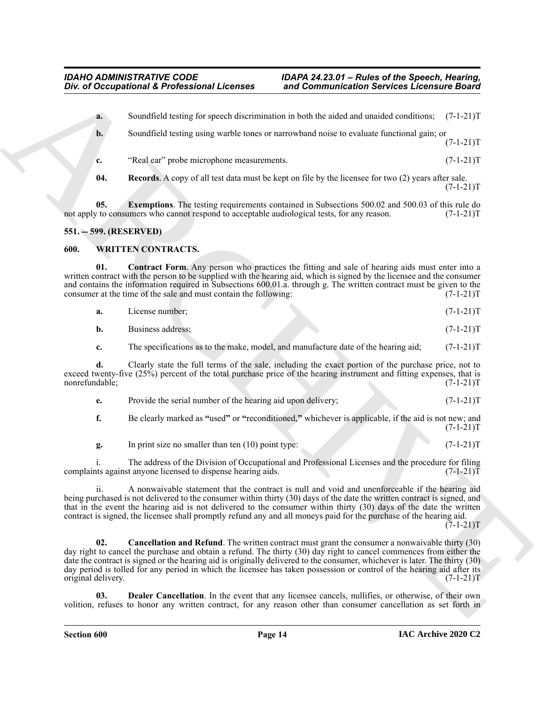|                    |       | Div. of Occupational & Professional Licenses                                                | and Communication Services Licensure Board                                                                                                                                                                                                                                                                                                                                                                                                                                              |             |
|--------------------|-------|---------------------------------------------------------------------------------------------|-----------------------------------------------------------------------------------------------------------------------------------------------------------------------------------------------------------------------------------------------------------------------------------------------------------------------------------------------------------------------------------------------------------------------------------------------------------------------------------------|-------------|
|                    | a.    |                                                                                             | Soundfield testing for speech discrimination in both the aided and unaided conditions;                                                                                                                                                                                                                                                                                                                                                                                                  | $(7-1-21)T$ |
|                    | $b$ . |                                                                                             | Soundfield testing using warble tones or narrowband noise to evaluate functional gain; or                                                                                                                                                                                                                                                                                                                                                                                               | $(7-1-21)T$ |
|                    | c.    | "Real ear" probe microphone measurements.                                                   |                                                                                                                                                                                                                                                                                                                                                                                                                                                                                         | $(7-1-21)T$ |
|                    | 04.   |                                                                                             | <b>Records.</b> A copy of all test data must be kept on file by the licensee for two (2) years after sale.                                                                                                                                                                                                                                                                                                                                                                              | $(7-1-21)T$ |
|                    | 05.   | not apply to consumers who cannot respond to acceptable audiological tests, for any reason. | <b>Exemptions.</b> The testing requirements contained in Subsections 500.02 and 500.03 of this rule do                                                                                                                                                                                                                                                                                                                                                                                  | $(7-1-21)T$ |
|                    |       | 551. -- 599. (RESERVED)                                                                     |                                                                                                                                                                                                                                                                                                                                                                                                                                                                                         |             |
| 600.               |       | <b>WRITTEN CONTRACTS.</b>                                                                   |                                                                                                                                                                                                                                                                                                                                                                                                                                                                                         |             |
|                    | 01.   | consumer at the time of the sale and must contain the following:                            | Contract Form. Any person who practices the fitting and sale of hearing aids must enter into a<br>written contract with the person to be supplied with the hearing aid, which is signed by the licensee and the consumer<br>and contains the information required in Subsections 600.01.a. through g. The written contract must be given to the                                                                                                                                         | $(7-1-21)T$ |
|                    | a.    | License number;                                                                             |                                                                                                                                                                                                                                                                                                                                                                                                                                                                                         | $(7-1-21)T$ |
|                    | b.    | Business address;                                                                           |                                                                                                                                                                                                                                                                                                                                                                                                                                                                                         | $(7-1-21)T$ |
|                    | c.    |                                                                                             | The specifications as to the make, model, and manufacture date of the hearing aid;                                                                                                                                                                                                                                                                                                                                                                                                      | $(7-1-21)T$ |
| nonrefundable;     | d.    |                                                                                             | Clearly state the full terms of the sale, including the exact portion of the purchase price, not to<br>exceed twenty-five (25%) percent of the total purchase price of the hearing instrument and fitting expenses, that is                                                                                                                                                                                                                                                             | $(7-1-21)T$ |
|                    | e.    | Provide the serial number of the hearing aid upon delivery;                                 |                                                                                                                                                                                                                                                                                                                                                                                                                                                                                         | $(7-1-21)T$ |
|                    | f.    |                                                                                             | Be clearly marked as "used" or "reconditioned," whichever is applicable, if the aid is not new; and                                                                                                                                                                                                                                                                                                                                                                                     | $(7-1-21)T$ |
|                    | g.    | In print size no smaller than ten $(10)$ point type:                                        |                                                                                                                                                                                                                                                                                                                                                                                                                                                                                         | $(7-1-21)T$ |
|                    |       | complaints against anyone licensed to dispense hearing aids.                                | The address of the Division of Occupational and Professional Licenses and the procedure for filing                                                                                                                                                                                                                                                                                                                                                                                      | $(7-1-21)T$ |
|                    | ii.   |                                                                                             | A nonwaivable statement that the contract is null and void and unenforceable if the hearing aid<br>being purchased is not delivered to the consumer within thirty (30) days of the date the written contract is signed, and<br>that in the event the hearing aid is not delivered to the consumer within thirty (30) days of the date the written<br>contract is signed, the licensee shall promptly refund any and all moneys paid for the purchase of the hearing aid.                | $(7-1-21)T$ |
| original delivery. | 02.   |                                                                                             | <b>Cancellation and Refund</b> . The written contract must grant the consumer a nonwaivable thirty (30)<br>day right to cancel the purchase and obtain a refund. The thirty (30) day right to cancel commences from either the<br>date the contract is signed or the hearing aid is originally delivered to the consumer, whichever is later. The thirty (30)<br>day period is tolled for any period in which the licensee has taken possession or control of the hearing aid after its | $(7-1-21)T$ |
|                    | 03.   |                                                                                             | Dealer Cancellation. In the event that any licensee cancels, nullifies, or otherwise, of their own<br>volition, refuses to honor any written contract, for any reason other than consumer cancellation as set forth in                                                                                                                                                                                                                                                                  |             |
|                    |       |                                                                                             |                                                                                                                                                                                                                                                                                                                                                                                                                                                                                         |             |

### <span id="page-13-3"></span><span id="page-13-2"></span><span id="page-13-0"></span>**551. -- 599. (RESERVED)**

### <span id="page-13-4"></span><span id="page-13-1"></span>**600. WRITTEN CONTRACTS.**

<span id="page-13-6"></span>

| а. | License number: | $(7-1-21)T$ |
|----|-----------------|-------------|
|    |                 |             |

| <b>b.</b> | Business address: |  | $(7-1-21)T$ |
|-----------|-------------------|--|-------------|
|           |                   |  |             |

<span id="page-13-7"></span><span id="page-13-5"></span>

|  | Provide the serial number of the hearing aid upon delivery; | $(7-1-21)T$ |
|--|-------------------------------------------------------------|-------------|
|--|-------------------------------------------------------------|-------------|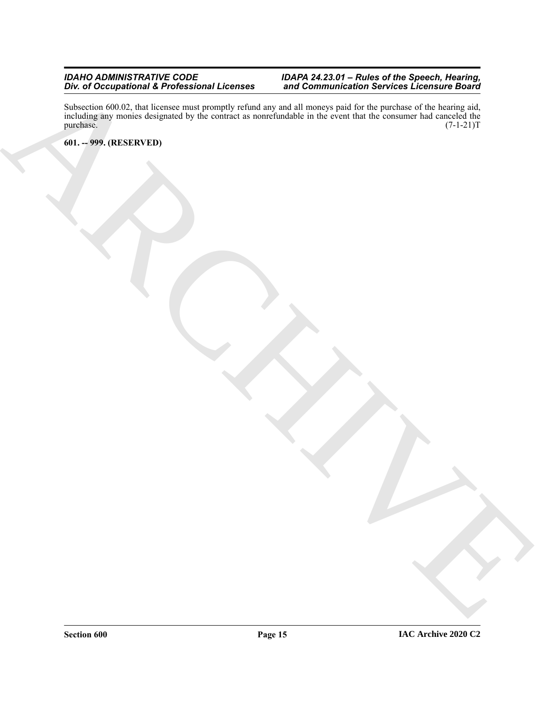*IDAHO ADMINISTRATIVE CODE IDAPA 24.23.01 – Rules of the Speech, Hearing, Div. of Occupational & Professional Licenses and Communication Services Licensure Board*

ARCHIVE Subsection 600.02, that licensee must promptly refund any and all moneys paid for the purchase of the hearing aid, including any monies designated by the contract as nonrefundable in the event that the consumer had canceled the purchase.  $(7-1-21)T$ 

<span id="page-14-0"></span>**601. -- 999. (RESERVED)**